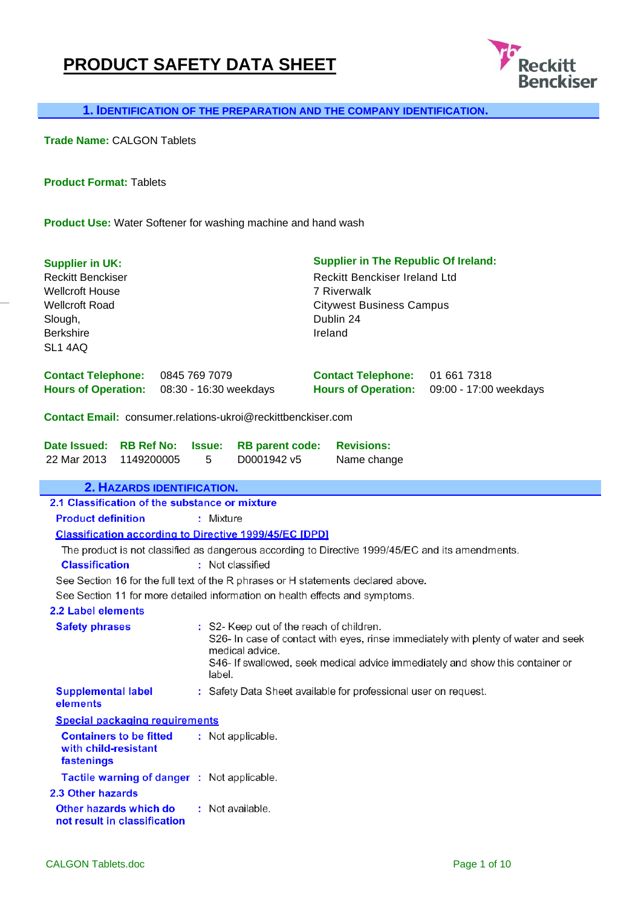## **PRODUCT SAFETY DATA SHEET**



 **1. IDENTIFICATION OF THE PREPARATION AND THE COMPANY IDENTIFICATION.** 

**Trade Name:** CALGON Tablets

**Product Format:** Tablets

**Product Use:** Water Softener for washing machine and hand wash

| <b>Supplier in UK:</b><br><b>Reckitt Benckiser</b><br><b>Wellcroft House</b><br><b>Wellcroft Road</b><br>Slough,<br><b>Berkshire</b><br>SL1 4AQ |                    |                                                                       | <b>Supplier in The Republic Of Ireland:</b><br><b>Reckitt Benckiser Ireland Ltd</b><br><b>7 Riverwalk</b><br><b>Citywest Business Campus</b><br>Dublin 24<br>Ireland |                                                                                                                                                                     |
|-------------------------------------------------------------------------------------------------------------------------------------------------|--------------------|-----------------------------------------------------------------------|----------------------------------------------------------------------------------------------------------------------------------------------------------------------|---------------------------------------------------------------------------------------------------------------------------------------------------------------------|
| <b>Contact Telephone:</b><br><b>Hours of Operation:</b>                                                                                         | 0845 769 7079      | 08:30 - 16:30 weekdays                                                | <b>Contact Telephone:</b><br><b>Hours of Operation:</b>                                                                                                              | 01 661 7318<br>09:00 - 17:00 weekdays                                                                                                                               |
| Contact Email: consumer.relations-ukroi@reckittbenckiser.com                                                                                    |                    |                                                                       |                                                                                                                                                                      |                                                                                                                                                                     |
| Date Issued:<br><b>RB Ref No:</b><br>22 Mar 2013<br>1149200005                                                                                  | <b>Issue:</b><br>5 | <b>RB</b> parent code:<br>D0001942 v5                                 | <b>Revisions:</b><br>Name change                                                                                                                                     |                                                                                                                                                                     |
| 2. HAZARDS IDENTIFICATION.                                                                                                                      |                    |                                                                       |                                                                                                                                                                      |                                                                                                                                                                     |
| 2.1 Classification of the substance or mixture                                                                                                  |                    |                                                                       |                                                                                                                                                                      |                                                                                                                                                                     |
| <b>Product definition</b>                                                                                                                       |                    | : Mixture                                                             |                                                                                                                                                                      |                                                                                                                                                                     |
| <b>Classification according to Directive 1999/45/EC [DPD]</b>                                                                                   |                    |                                                                       |                                                                                                                                                                      |                                                                                                                                                                     |
| <b>Classification</b>                                                                                                                           |                    | : Not classified                                                      | The product is not classified as dangerous according to Directive 1999/45/EC and its amendments.                                                                     |                                                                                                                                                                     |
|                                                                                                                                                 |                    |                                                                       | See Section 16 for the full text of the R phrases or H statements declared above.                                                                                    |                                                                                                                                                                     |
| See Section 11 for more detailed information on health effects and symptoms.                                                                    |                    |                                                                       |                                                                                                                                                                      |                                                                                                                                                                     |
| 2.2 Label elements                                                                                                                              |                    |                                                                       |                                                                                                                                                                      |                                                                                                                                                                     |
| <b>Safety phrases</b>                                                                                                                           |                    | : S2- Keep out of the reach of children.<br>medical advice.<br>label. |                                                                                                                                                                      | S26- In case of contact with eyes, rinse immediately with plenty of water and seek<br>S46- If swallowed, seek medical advice immediately and show this container or |
| <b>Supplemental label</b><br>elements                                                                                                           |                    |                                                                       | : Safety Data Sheet available for professional user on request.                                                                                                      |                                                                                                                                                                     |
| <b>Special packaging requirements</b>                                                                                                           |                    |                                                                       |                                                                                                                                                                      |                                                                                                                                                                     |
| <b>Containers to be fitted</b><br>with child-resistant<br>fastenings                                                                            |                    | : Not applicable.                                                     |                                                                                                                                                                      |                                                                                                                                                                     |
| Tactile warning of danger : Not applicable.                                                                                                     |                    |                                                                       |                                                                                                                                                                      |                                                                                                                                                                     |
| 2.3 Other hazards                                                                                                                               |                    |                                                                       |                                                                                                                                                                      |                                                                                                                                                                     |
| Other hazards which do<br>not result in classification                                                                                          |                    | : Not available.                                                      |                                                                                                                                                                      |                                                                                                                                                                     |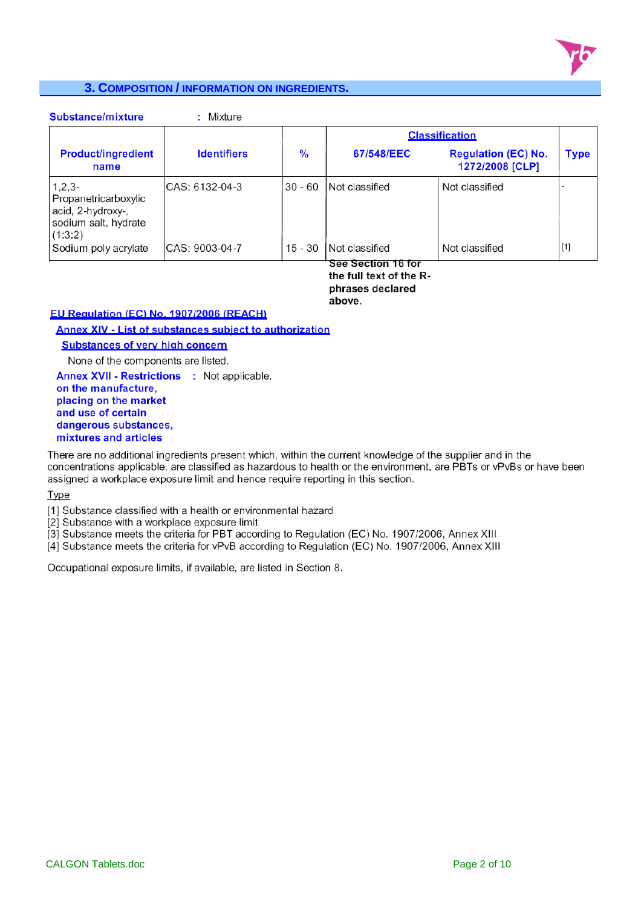

#### **3. COMPOSITION / INFORMATION ON INGREDIENTS.**

| <b>Substance/mixture</b>                                                                 | : Mixture          |           |                                               |                                               |       |
|------------------------------------------------------------------------------------------|--------------------|-----------|-----------------------------------------------|-----------------------------------------------|-------|
|                                                                                          |                    |           |                                               | <b>Classification</b>                         |       |
| <b>Product/ingredient</b><br>name                                                        | <b>Identifiers</b> | %         | 67/548/EEC                                    | <b>Regulation (EC) No.</b><br>1272/2008 [CLP] | Type  |
| $1,2,3-$<br>Propanetricarboxylic<br>acid, 2-hydroxy-,<br>sodium salt, hydrate<br>(1:3:2) | CAS: 6132-04-3     | $30 - 60$ | Not classified                                | Not classified                                |       |
| Sodium poly acrylate                                                                     | CAS: 9003-04-7     | $15 - 30$ | Not classified                                | Not classified                                | $[1]$ |
|                                                                                          |                    |           | See Section 16 for<br>the full text of the R. |                                               |       |

the full text of the Rphrases declared above.

#### EU Regulation (EC) No. 1907/2006 (REACH)

Annex XIV - List of substances subject to authorization

**Substances of very high concern** 

None of the components are listed.

**Annex XVII - Restrictions : Not applicable.** on the manufacture. placing on the market and use of certain dangerous substances, mixtures and articles

There are no additional ingredients present which, within the current knowledge of the supplier and in the concentrations applicable, are classified as hazardous to health or the environment, are PBTs or vPvBs or have been assigned a workplace exposure limit and hence require reporting in this section.

**Type** 

[1] Substance classified with a health or environmental hazard

[2] Substance with a workplace exposure limit

[3] Substance meets the criteria for PBT according to Regulation (EC) No. 1907/2006, Annex XIII

[4] Substance meets the criteria for vPvB according to Regulation (EC) No. 1907/2006, Annex XIII

Occupational exposure limits, if available, are listed in Section 8.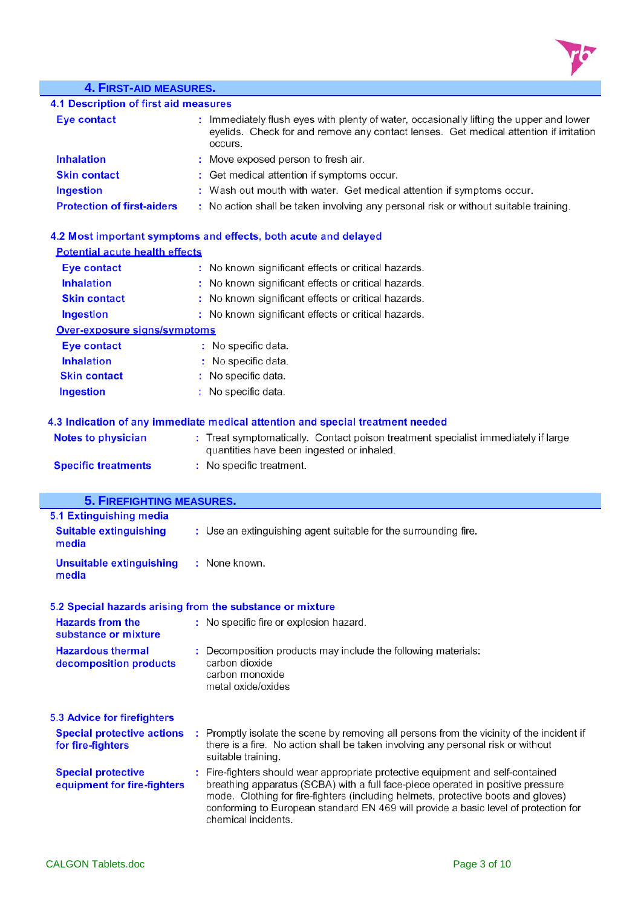

# **4. FIRST-AID MEASURES.**

| Eye contact                       | : Immediately flush eyes with plenty of water, occasionally lifting the upper and lower<br>eyelids. Check for and remove any contact lenses. Get medical attention if irritation<br>occurs. |
|-----------------------------------|---------------------------------------------------------------------------------------------------------------------------------------------------------------------------------------------|
| <b>Inhalation</b>                 | : Move exposed person to fresh air.                                                                                                                                                         |
| <b>Skin contact</b>               | : Get medical attention if symptoms occur.                                                                                                                                                  |
| Ingestion                         | : Wash out mouth with water. Get medical attention if symptoms occur.                                                                                                                       |
| <b>Protection of first-aiders</b> | : No action shall be taken involving any personal risk or without suitable training.                                                                                                        |

| 4.2 Most important symptoms and effects, both acute and delayed |                                                                                                                                |  |  |  |
|-----------------------------------------------------------------|--------------------------------------------------------------------------------------------------------------------------------|--|--|--|
| <b>Potential acute health effects</b>                           |                                                                                                                                |  |  |  |
| Eye contact                                                     | : No known significant effects or critical hazards.                                                                            |  |  |  |
| <b>Inhalation</b>                                               | : No known significant effects or critical hazards.                                                                            |  |  |  |
| <b>Skin contact</b>                                             | : No known significant effects or critical hazards.                                                                            |  |  |  |
| Ingestion                                                       | : No known significant effects or critical hazards.                                                                            |  |  |  |
| <b>Over-exposure signs/symptoms</b>                             |                                                                                                                                |  |  |  |
| Eye contact                                                     | : No specific data.                                                                                                            |  |  |  |
| <b>Inhalation</b>                                               | : No specific data.                                                                                                            |  |  |  |
| <b>Skin contact</b>                                             | : No specific data.                                                                                                            |  |  |  |
| Ingestion                                                       | : No specific data.                                                                                                            |  |  |  |
|                                                                 | 4.3 Indication of any immediate medical attention and special treatment needed                                                 |  |  |  |
| <b>Notes to physician</b>                                       | : Treat symptomatically. Contact poison treatment specialist immediately if large<br>quantities have been ingested or inhaled. |  |  |  |
| <b>Specific treatments</b>                                      | : No specific treatment.                                                                                                       |  |  |  |

| <b>5. FIREFIGHTING MEASURES.</b>                          |                                                                                                                                                                                                                                                                                                                                                                       |
|-----------------------------------------------------------|-----------------------------------------------------------------------------------------------------------------------------------------------------------------------------------------------------------------------------------------------------------------------------------------------------------------------------------------------------------------------|
| 5.1 Extinguishing media                                   |                                                                                                                                                                                                                                                                                                                                                                       |
| <b>Suitable extinguishing</b><br>media                    | : Use an extinguishing agent suitable for the surrounding fire.                                                                                                                                                                                                                                                                                                       |
| <b>Unsuitable extinguishing</b><br>media                  | : None known.                                                                                                                                                                                                                                                                                                                                                         |
| 5.2 Special hazards arising from the substance or mixture |                                                                                                                                                                                                                                                                                                                                                                       |
| <b>Hazards from the</b><br>substance or mixture           | : No specific fire or explosion hazard.                                                                                                                                                                                                                                                                                                                               |
| <b>Hazardous thermal</b><br>decomposition products        | : Decomposition products may include the following materials:<br>carbon dioxide<br>carbon monoxide<br>metal oxide/oxides                                                                                                                                                                                                                                              |
| <b>5.3 Advice for firefighters</b>                        |                                                                                                                                                                                                                                                                                                                                                                       |
| <b>Special protective actions</b><br>for fire-fighters    | : Promptly isolate the scene by removing all persons from the vicinity of the incident if<br>there is a fire. No action shall be taken involving any personal risk or without<br>suitable training.                                                                                                                                                                   |
| <b>Special protective</b><br>equipment for fire-fighters  | : Fire-fighters should wear appropriate protective equipment and self-contained<br>breathing apparatus (SCBA) with a full face-piece operated in positive pressure<br>mode. Clothing for fire-fighters (including helmets, protective boots and gloves)<br>conforming to European standard EN 469 will provide a basic level of protection for<br>chemical incidents. |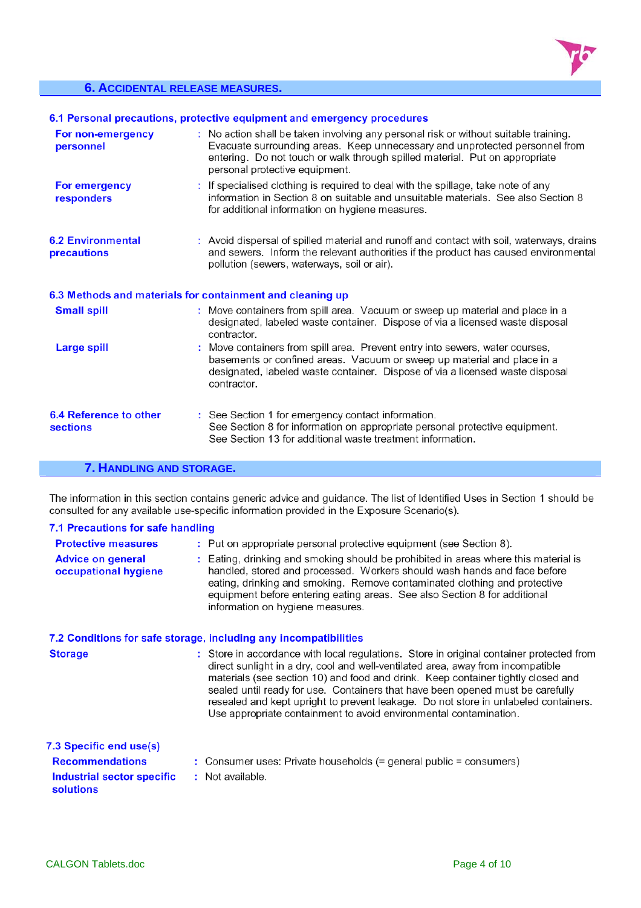

#### **6. ACCIDENTAL RELEASE MEASURES.**

#### 6.1 Personal precautions, protective equipment and emergency procedures

| For non-emergency<br>personnel            | : No action shall be taken involving any personal risk or without suitable training.<br>Evacuate surrounding areas. Keep unnecessary and unprotected personnel from<br>entering. Do not touch or walk through spilled material. Put on appropriate<br>personal protective equipment. |
|-------------------------------------------|--------------------------------------------------------------------------------------------------------------------------------------------------------------------------------------------------------------------------------------------------------------------------------------|
| For emergency<br>responders               | : If specialised clothing is required to deal with the spillage, take note of any<br>information in Section 8 on suitable and unsuitable materials. See also Section 8<br>for additional information on hygiene measures.                                                            |
| <b>6.2 Environmental</b><br>precautions   | : Avoid dispersal of spilled material and runoff and contact with soil, waterways, drains<br>and sewers. Inform the relevant authorities if the product has caused environmental<br>pollution (sewers, waterways, soil or air).                                                      |
|                                           | 6.3 Methods and materials for containment and cleaning up                                                                                                                                                                                                                            |
| <b>Small spill</b>                        | : Move containers from spill area. Vacuum or sweep up material and place in a<br>designated, labeled waste container. Dispose of via a licensed waste disposal<br>contractor.                                                                                                        |
| <b>Large spill</b>                        | : Move containers from spill area. Prevent entry into sewers, water courses,<br>basements or confined areas. Vacuum or sweep up material and place in a<br>designated, labeled waste container. Dispose of via a licensed waste disposal<br>contractor.                              |
| 6.4 Reference to other<br><b>sections</b> | : See Section 1 for emergency contact information.<br>See Section 8 for information on appropriate personal protective equipment.<br>See Section 13 for additional waste treatment information.                                                                                      |

### **7. HANDLING AND STORAGE.**

The information in this section contains generic advice and guidance. The list of Identified Uses in Section 1 should be consulted for any available use-specific information provided in the Exposure Scenario(s).

| 7.1 Precautions for safe handling                |                                                                                                                                                                                                                                                                                                                                                                                                                                                                                                               |
|--------------------------------------------------|---------------------------------------------------------------------------------------------------------------------------------------------------------------------------------------------------------------------------------------------------------------------------------------------------------------------------------------------------------------------------------------------------------------------------------------------------------------------------------------------------------------|
| <b>Protective measures</b>                       | : Put on appropriate personal protective equipment (see Section 8).                                                                                                                                                                                                                                                                                                                                                                                                                                           |
| <b>Advice on general</b><br>occupational hygiene | : Eating, drinking and smoking should be prohibited in areas where this material is<br>handled, stored and processed. Workers should wash hands and face before<br>eating, drinking and smoking. Remove contaminated clothing and protective<br>equipment before entering eating areas. See also Section 8 for additional<br>information on hygiene measures.                                                                                                                                                 |
|                                                  | 7.2 Conditions for safe storage, including any incompatibilities                                                                                                                                                                                                                                                                                                                                                                                                                                              |
| <b>Storage</b>                                   | : Store in accordance with local regulations. Store in original container protected from<br>direct sunlight in a dry, cool and well-ventilated area, away from incompatible<br>materials (see section 10) and food and drink. Keep container tightly closed and<br>sealed until ready for use. Containers that have been opened must be carefully<br>resealed and kept upright to prevent leakage. Do not store in unlabeled containers.<br>Use appropriate containment to avoid environmental contamination. |
| 7.3 Specific end use(s)                          |                                                                                                                                                                                                                                                                                                                                                                                                                                                                                                               |
| <b>Recommendations</b>                           | : Consumer uses: Private households $(=$ general public = consumers)                                                                                                                                                                                                                                                                                                                                                                                                                                          |
| Industrial sector specific<br>solutions          | : Not available.                                                                                                                                                                                                                                                                                                                                                                                                                                                                                              |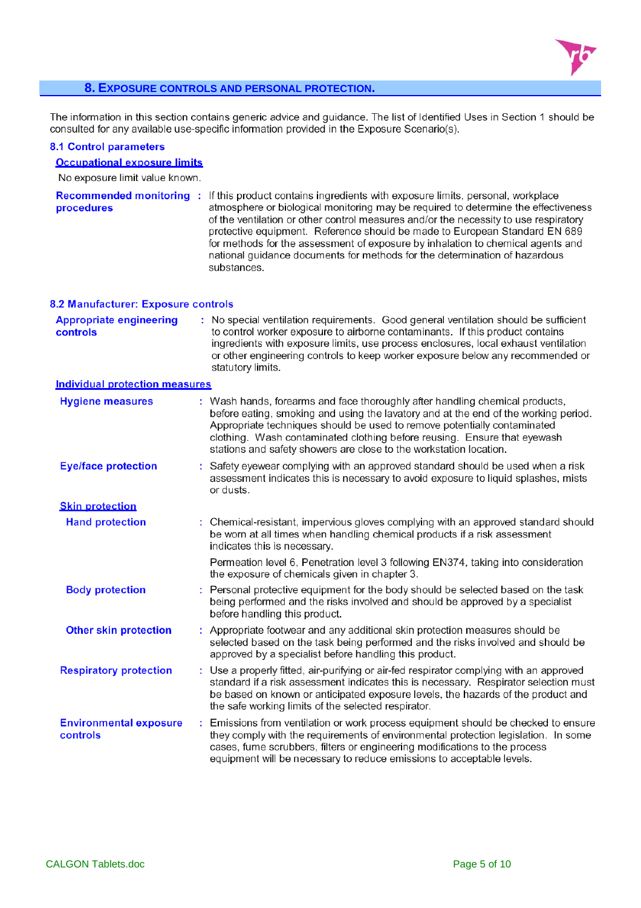

#### **8. EXPOSURE CONTROLS AND PERSONAL PROTECTION.**

The information in this section contains generic advice and guidance. The list of Identified Uses in Section 1 should be consulted for any available use-specific information provided in the Exposure Scenario(s).

#### **8.1 Control parameters**

### **Occupational exposure limits**

No exposure limit value known.

Recommended monitoring: If this product contains ingredients with exposure limits, personal, workplace atmosphere or biological monitoring may be required to determine the effectiveness procedures of the ventilation or other control measures and/or the necessity to use respiratory protective equipment. Reference should be made to European Standard EN 689 for methods for the assessment of exposure by inhalation to chemical agents and national quidance documents for methods for the determination of hazardous substances.

#### 8.2 Manufacturer: Exposure controls

| <b>Appropriate engineering</b><br>controls | : No special ventilation requirements. Good general ventilation should be sufficient<br>to control worker exposure to airborne contaminants. If this product contains<br>ingredients with exposure limits, use process enclosures, local exhaust ventilation<br>or other engineering controls to keep worker exposure below any recommended or<br>statutory limits.                               |
|--------------------------------------------|---------------------------------------------------------------------------------------------------------------------------------------------------------------------------------------------------------------------------------------------------------------------------------------------------------------------------------------------------------------------------------------------------|
| <b>Individual protection measures</b>      |                                                                                                                                                                                                                                                                                                                                                                                                   |
| <b>Hygiene measures</b>                    | : Wash hands, forearms and face thoroughly after handling chemical products,<br>before eating, smoking and using the lavatory and at the end of the working period.<br>Appropriate techniques should be used to remove potentially contaminated<br>clothing. Wash contaminated clothing before reusing. Ensure that eyewash<br>stations and safety showers are close to the workstation location. |
| <b>Eye/face protection</b>                 | Safety eyewear complying with an approved standard should be used when a risk<br>assessment indicates this is necessary to avoid exposure to liquid splashes, mists<br>or dusts.                                                                                                                                                                                                                  |
| <b>Skin protection</b>                     |                                                                                                                                                                                                                                                                                                                                                                                                   |
| <b>Hand protection</b>                     | : Chemical-resistant, impervious gloves complying with an approved standard should<br>be worn at all times when handling chemical products if a risk assessment<br>indicates this is necessary.                                                                                                                                                                                                   |
|                                            | Permeation level 6, Penetration level 3 following EN374, taking into consideration<br>the exposure of chemicals given in chapter 3.                                                                                                                                                                                                                                                               |
| <b>Body protection</b>                     | : Personal protective equipment for the body should be selected based on the task<br>being performed and the risks involved and should be approved by a specialist<br>before handling this product.                                                                                                                                                                                               |
| <b>Other skin protection</b>               | : Appropriate footwear and any additional skin protection measures should be<br>selected based on the task being performed and the risks involved and should be<br>approved by a specialist before handling this product.                                                                                                                                                                         |
| <b>Respiratory protection</b>              | : Use a properly fitted, air-purifying or air-fed respirator complying with an approved<br>standard if a risk assessment indicates this is necessary. Respirator selection must<br>be based on known or anticipated exposure levels, the hazards of the product and<br>the safe working limits of the selected respirator.                                                                        |
|                                            | $\mathbf{r}$ , and $\mathbf{r}$ , and $\mathbf{r}$ , and $\mathbf{r}$ , and $\mathbf{r}$ , and $\mathbf{r}$ , and $\mathbf{r}$                                                                                                                                                                                                                                                                    |

**Environmental exposure** : Emissions from ventilation or work process equipment should be checked to ensure controls they comply with the requirements of environmental protection legislation. In some cases, fume scrubbers, filters or engineering modifications to the process equipment will be necessary to reduce emissions to acceptable levels.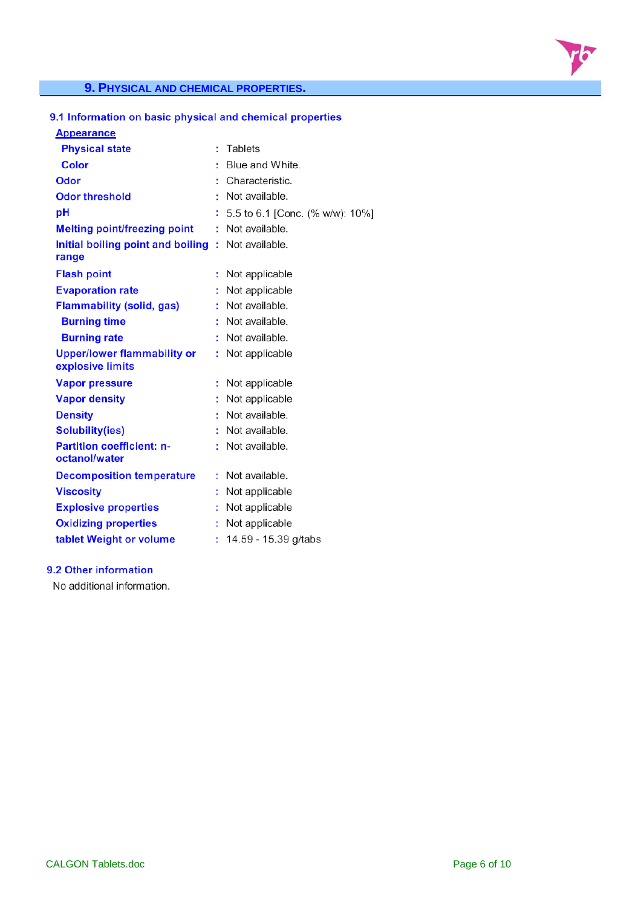

#### **9. PHYSICAL AND CHEMICAL PROPERTIES.**

#### 9.1 Information on basic physical and chemical properties

#### **Appearance**

| <b>Physical state</b>                                  |    | Tablets                         |
|--------------------------------------------------------|----|---------------------------------|
| <b>Color</b>                                           |    | Blue and White.                 |
| Odor                                                   |    | Characteristic.                 |
| <b>Odor threshold</b>                                  |    | Not available.                  |
| рH                                                     |    | 5.5 to 6.1 [Conc. (% w/w): 10%] |
| <b>Melting point/freezing point</b>                    | ÷  | Not available.                  |
| Initial boiling point and boiling<br>range             |    | : Not available.                |
| <b>Flash point</b>                                     |    | Not applicable                  |
| <b>Evaporation rate</b>                                |    | Not applicable                  |
| <b>Flammability (solid, gas)</b>                       |    | Not available.                  |
| <b>Burning time</b>                                    |    | Not available.                  |
| <b>Burning rate</b>                                    | ŧ. | Not available.                  |
| <b>Upper/lower flammability or</b><br>explosive limits | ÷  | Not applicable                  |
| <b>Vapor pressure</b>                                  |    | Not applicable                  |
| <b>Vapor density</b>                                   |    | Not applicable                  |
| <b>Density</b>                                         |    | Not available.                  |
| <b>Solubility(ies)</b>                                 | ÷  | Not available.                  |
| <b>Partition coefficient: n-</b><br>octanol/water      | ÷  | Not available.                  |
| <b>Decomposition temperature</b>                       |    | Not available.                  |
| <b>Viscosity</b>                                       |    | Not applicable                  |
| <b>Explosive properties</b>                            |    | Not applicable                  |
| <b>Oxidizing properties</b>                            | ÷. | Not applicable                  |
| tablet Weight or volume                                | t. | 14.59 - 15.39 g/tabs            |
|                                                        |    |                                 |

#### 9.2 Other information

No additional information.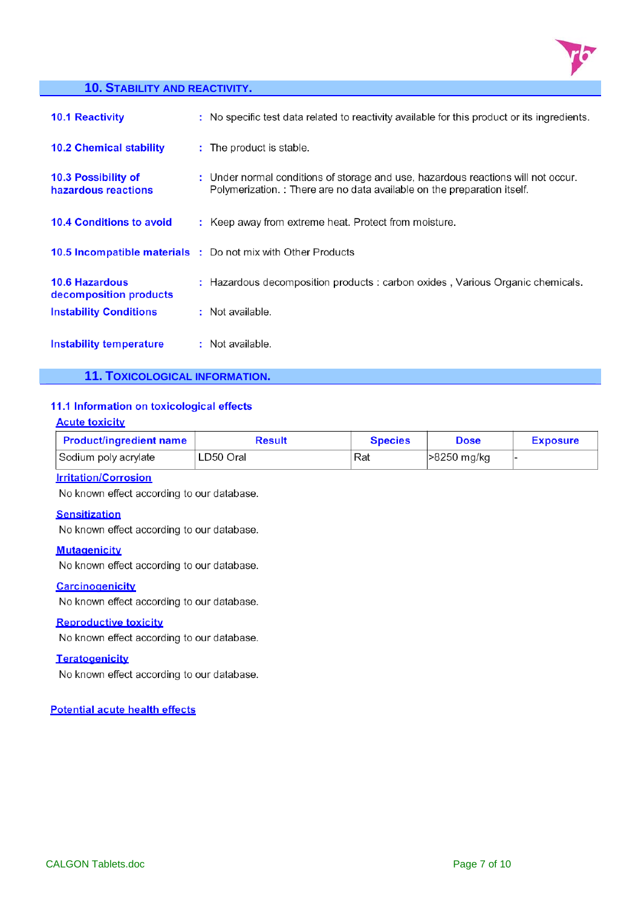

#### **10. STABILITY AND REACTIVITY.**

| <b>10.1 Reactivity</b>                          | : No specific test data related to reactivity available for this product or its ingredients.                                                                  |
|-------------------------------------------------|---------------------------------------------------------------------------------------------------------------------------------------------------------------|
| <b>10.2 Chemical stability</b>                  | : The product is stable.                                                                                                                                      |
| 10.3 Possibility of<br>hazardous reactions      | : Under normal conditions of storage and use, hazardous reactions will not occur.<br>Polymerization. : There are no data available on the preparation itself. |
| <b>10.4 Conditions to avoid</b>                 | : Keep away from extreme heat. Protect from moisture.                                                                                                         |
|                                                 | <b>10.5 Incompatible materials :</b> Do not mix with Other Products                                                                                           |
| <b>10.6 Hazardous</b><br>decomposition products | : Hazardous decomposition products : carbon oxides, Various Organic chemicals.                                                                                |
| <b>Instability Conditions</b>                   | : Not available.                                                                                                                                              |
| Instability temperature                         | : Not available.                                                                                                                                              |

**11. TOXICOLOGICAL INFORMATION.** 

#### 11.1 Information on toxicological effects

#### **Acute toxicity**

| <b>Product/ingredient name</b> | <b>Result</b> | <b>Species</b> | <b>Dose</b> | <b>Exposure</b> |
|--------------------------------|---------------|----------------|-------------|-----------------|
| Sodium poly acrylate           | LD50 Oral     | Rat            | >8250 mg/kg |                 |

#### **Irritation/Corrosion**

No known effect according to our database.

#### **Sensitization**

No known effect according to our database.

#### **Mutagenicity**

No known effect according to our database.

#### **Carcinogenicity**

No known effect according to our database.

#### **Reproductive toxicity**

No known effect according to our database.

#### **Teratogenicity**

No known effect according to our database.

#### **Potential acute health effects**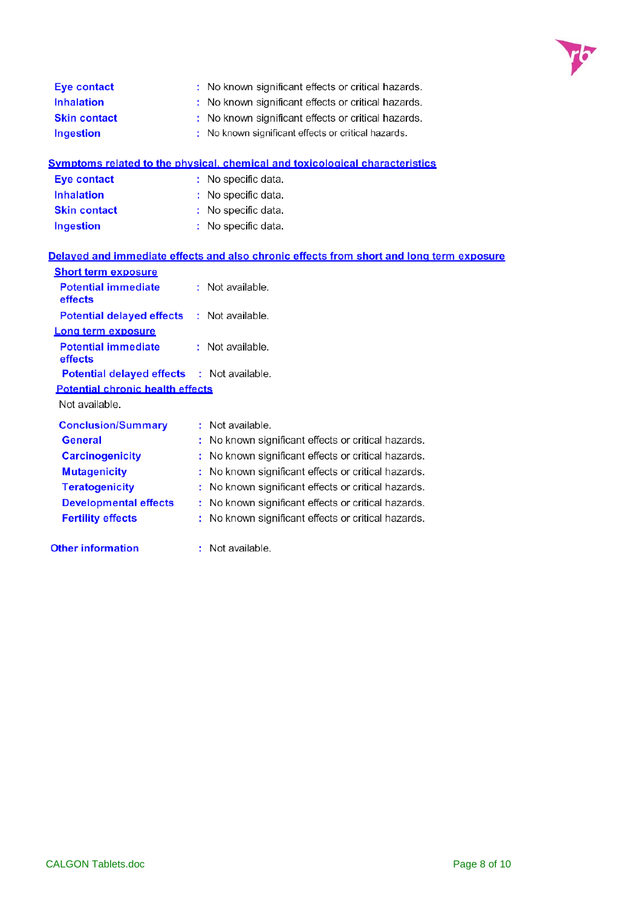

| <b>Eve contact</b>  | : No known significant effects or critical hazards. |
|---------------------|-----------------------------------------------------|
| <b>Inhalation</b>   | : No known significant effects or critical hazards. |
| <b>Skin contact</b> | : No known significant effects or critical hazards. |
| Ingestion           | : No known significant effects or critical hazards. |

|                    | Symptoms related to the physical, chemical and toxicological characteristics |
|--------------------|------------------------------------------------------------------------------|
| <b>Eve contact</b> | : No specific data.                                                          |

| <b>Inhalation</b>   | : No specific data. |
|---------------------|---------------------|
| <b>Skin contact</b> | : No specific data. |
| Ingestion           | : No specific data. |

#### Delayed and immediate effects and also chronic effects from short and long term exposure

| <b>Short term exposure</b>                        |  |                                                     |
|---------------------------------------------------|--|-----------------------------------------------------|
| <b>Potential immediate</b><br>effects             |  | : Not available.                                    |
| <b>Potential delayed effects</b>                  |  | : Not available.                                    |
| Long term exposure                                |  |                                                     |
| <b>Potential immediate</b><br>effects             |  | : Not available.                                    |
| <b>Potential delayed effects : Not available.</b> |  |                                                     |
| <b>Potential chronic health effects</b>           |  |                                                     |
| Not available.                                    |  |                                                     |
| <b>Conclusion/Summary</b>                         |  | : Not available.                                    |
| General                                           |  | No known significant effects or critical hazards.   |
| <b>Carcinogenicity</b>                            |  | : No known significant effects or critical hazards. |
| <b>Mutagenicity</b>                               |  | : No known significant effects or critical hazards. |
| <b>Teratogenicity</b>                             |  | No known significant effects or critical hazards.   |
| <b>Developmental effects</b>                      |  | : No known significant effects or critical hazards. |
| <b>Fertility effects</b>                          |  | : No known significant effects or critical hazards. |
| <b>Other information</b>                          |  | : Not available.                                    |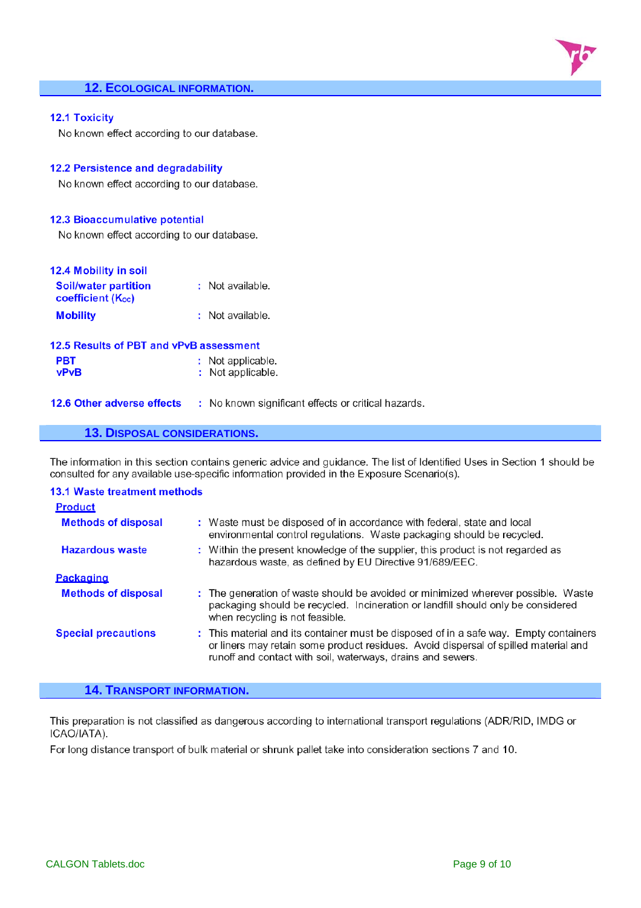#### **12. ECOLOGICAL INFORMATION.**

#### **12.1 Toxicity**

vPvB

No known effect according to our database.

#### 12.2 Persistence and degradability

No known effect according to our database.

#### **12.3 Bioaccumulative potential**

No known effect according to our database.

| 12.4 Mobility in soil                            |                   |
|--------------------------------------------------|-------------------|
| <b>Soil/water partition</b><br>coefficient (Koc) | : Not available.  |
| <b>Mobility</b>                                  | : Not available.  |
| 12.5 Results of PBT and vPvB assessment          |                   |
|                                                  | : Not applicable. |

| Not applicable. |  |
|-----------------|--|

12.6 Other adverse effects : No known significant effects or critical hazards.

#### **13. DISPOSAL CONSIDERATIONS.**

The information in this section contains generic advice and guidance. The list of Identified Uses in Section 1 should be consulted for any available use-specific information provided in the Exposure Scenario(s).

| <b>13.1 Waste treatment methods</b> |                                                                                                                                                                                                                                             |
|-------------------------------------|---------------------------------------------------------------------------------------------------------------------------------------------------------------------------------------------------------------------------------------------|
| <b>Product</b>                      |                                                                                                                                                                                                                                             |
| <b>Methods of disposal</b>          | : Waste must be disposed of in accordance with federal, state and local<br>environmental control regulations. Waste packaging should be recycled.                                                                                           |
| <b>Hazardous waste</b>              | : Within the present knowledge of the supplier, this product is not regarded as<br>hazardous waste, as defined by EU Directive 91/689/EEC.                                                                                                  |
| Packaging                           |                                                                                                                                                                                                                                             |
| <b>Methods of disposal</b>          | : The generation of waste should be avoided or minimized wherever possible. Waste<br>packaging should be recycled. Incineration or landfill should only be considered<br>when recycling is not feasible.                                    |
| <b>Special precautions</b>          | : This material and its container must be disposed of in a safe way. Empty containers<br>or liners may retain some product residues. Avoid dispersal of spilled material and<br>runoff and contact with soil, waterways, drains and sewers. |

#### **14. TRANSPORT INFORMATION.**

This preparation is not classified as dangerous according to international transport regulations (ADR/RID, IMDG or ICAO/IATA).

For long distance transport of bulk material or shrunk pallet take into consideration sections 7 and 10.